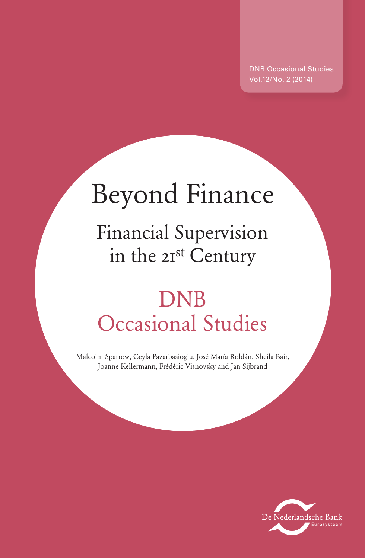DNB Occasional Studies Vol.12/No. 2 (2014)

# Beyond Finance

Financial Supervision in the 21st Century

## DNB Occasional Studies

Malcolm Sparrow, Ceyla Pazarbasioglu, José María Roldán, Sheila Bair, Joanne Kellermann, Frédéric Visnovsky and Jan Sijbrand

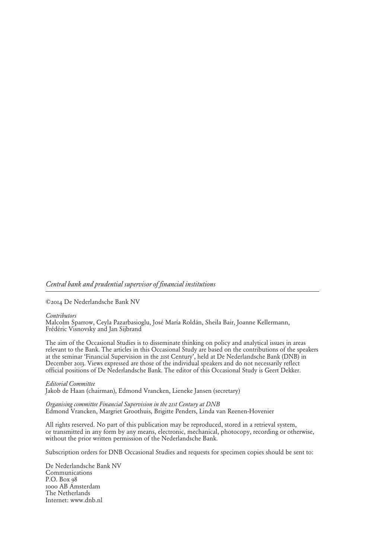#### *Central bank and prudential supervisor of financial institutions*

©2014 De Nederlandsche Bank NV

*Contributors*

Malcolm Sparrow, Ceyla Pazarbasioglu, José María Roldán, Sheila Bair, Joanne Kellermann, Frédéric Visnovsky and Jan Sijbrand

The aim of the Occasional Studies is to disseminate thinking on policy and analytical issues in areas relevant to the Bank. The articles in this Occasional Study are based on the contributions of the speakers at the seminar 'Financial Supervision in the 21st Century', held at De Nederlandsche Bank (DNB) in December 2013. Views expressed are those of the individual speakers and do not necessarily reflect official positions of De Nederlandsche Bank. The editor of this Occasional Study is Geert Dekker.

*Editorial Committee* Jakob de Haan (chairman), Edmond Vrancken, Lieneke Jansen (secretary)

*Organising committee Financial Supervision in the 21st Century at DNB* Edmond Vrancken, Margriet Groothuis, Brigitte Penders, Linda van Reenen-Hovenier

All rights reserved. No part of this publication may be reproduced, stored in a retrieval system, or transmitted in any form by any means, electronic, mechanical, photocopy, recording or otherwise, without the prior written permission of the Nederlandsche Bank.

Subscription orders for DNB Occasional Studies and requests for specimen copies should be sent to:

De Nederlandsche Bank NV Communications P.O. Box 98 1000 AB Amsterdam The Netherlands Internet: www.dnb.nl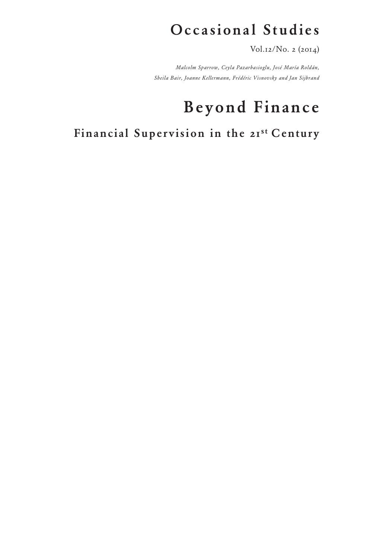## Occasional Studies

Vol.12/No. 2 (2014)

*Malcolm Sparrow, Ceyla Pazarbasioglu, José María Roldán, Sheila Bair, Joanne Kellermann, Frédéric Visnovsky and Jan Sijbrand*

## Beyond Finance

Financial Supervision in the 21st Century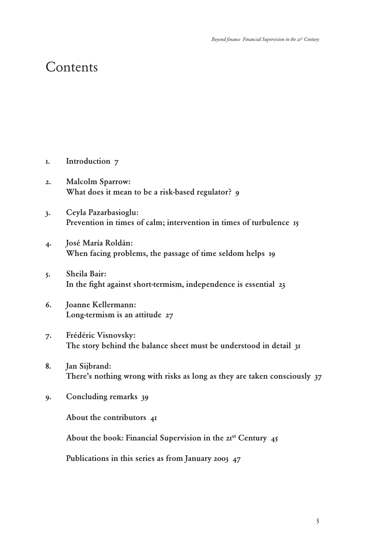### **Contents**

- 1. Introduction 7
- 2. Malcolm Sparrow: What does it mean to be a risk-based regulator? 9
- 3. Ceyla Pazarbasioglu: Prevention in times of calm; intervention in times of turbulence 15
- 4. José María Roldán: When facing problems, the passage of time seldom helps 19
- 5. Sheila Bair: In the fight against short-termism, independence is essential 23
- 6. Joanne Kellermann: Long-termism is an attitude 27
- 7. Frédéric Visnovsky: The story behind the balance sheet must be understood in detail 31
- 8. Jan Sijbrand: There's nothing wrong with risks as long as they are taken consciously 37
- 9. Concluding remarks 39

About the contributors 41

About the book: Financial Supervision in the  $21<sup>st</sup>$  Century  $45$ 

Publications in this series as from January 2003 47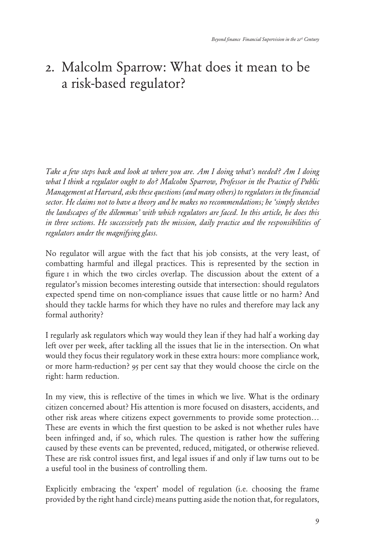## 2. Malcolm Sparrow: What does it mean to be a risk-based regulator?

*Take a few steps back and look at where you are. Am I doing what's needed? Am I doing what I think a regulator ought to do? Malcolm Sparrow, Professor in the Practice of Public Management at Harvard, asks these questions (and many others) to regulators in the financial sector. He claims not to have a theory and he makes no recommendations; he 'simply sketches the landscapes of the dilemmas' with which regulators are faced. In this article, he does this in three sections. He successively puts the mission, daily practice and the responsibilities of regulators under the magnifying glass.*

No regulator will argue with the fact that his job consists, at the very least, of combatting harmful and illegal practices. This is represented by the section in figure 1 in which the two circles overlap. The discussion about the extent of a regulator's mission becomes interesting outside that intersection: should regulators expected spend time on non-compliance issues that cause little or no harm? And should they tackle harms for which they have no rules and therefore may lack any formal authority?

I regularly ask regulators which way would they lean if they had half a working day left over per week, after tackling all the issues that lie in the intersection. On what would they focus their regulatory work in these extra hours: more compliance work, or more harm-reduction? 95 per cent say that they would choose the circle on the right: harm reduction.

In my view, this is reflective of the times in which we live. What is the ordinary citizen concerned about? His attention is more focused on disasters, accidents, and other risk areas where citizens expect governments to provide some protection… These are events in which the first question to be asked is not whether rules have been infringed and, if so, which rules. The question is rather how the suffering caused by these events can be prevented, reduced, mitigated, or otherwise relieved. These are risk control issues first, and legal issues if and only if law turns out to be a useful tool in the business of controlling them.

Explicitly embracing the 'expert' model of regulation (i.e. choosing the frame provided by the right hand circle) means putting aside the notion that, for regulators,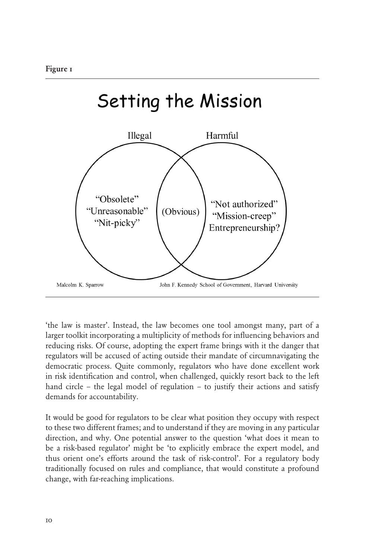

'the law is master'. Instead, the law becomes one tool amongst many, part of a larger toolkit incorporating a multiplicity of methods for influencing behaviors and reducing risks. Of course, adopting the expert frame brings with it the danger that regulators will be accused of acting outside their mandate of circumnavigating the democratic process. Quite commonly, regulators who have done excellent work in risk identification and control, when challenged, quickly resort back to the left hand circle – the legal model of regulation – to justify their actions and satisfy demands for accountability.

It would be good for regulators to be clear what position they occupy with respect to these two different frames; and to understand if they are moving in any particular direction, and why. One potential answer to the question 'what does it mean to be a risk-based regulator' might be 'to explicitly embrace the expert model, and thus orient one's efforts around the task of risk-control'. For a regulatory body traditionally focused on rules and compliance, that would constitute a profound change, with far-reaching implications.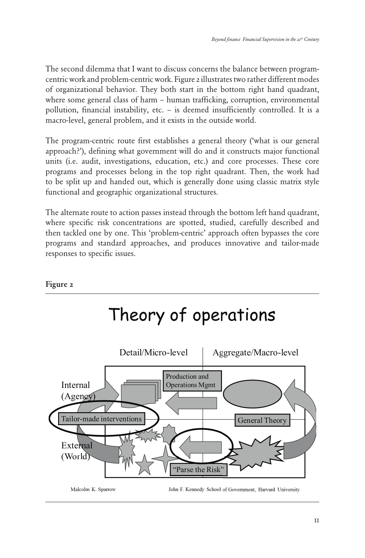The second dilemma that I want to discuss concerns the balance between programcentric work and problem-centric work. Figure 2 illustrates two rather different modes of organizational behavior. They both start in the bottom right hand quadrant, where some general class of harm – human trafficking, corruption, environmental pollution, financial instability, etc. – is deemed insufficiently controlled. It is a macro-level, general problem, and it exists in the outside world.

The program-centric route first establishes a general theory ('what is our general approach?'), defining what government will do and it constructs major functional units (i.e. audit, investigations, education, etc.) and core processes. These core programs and processes belong in the top right quadrant. Then, the work had to be split up and handed out, which is generally done using classic matrix style functional and geographic organizational structures.

The alternate route to action passes instead through the bottom left hand quadrant, where specific risk concentrations are spotted, studied, carefully described and then tackled one by one. This 'problem-centric' approach often bypasses the core programs and standard approaches, and produces innovative and tailor-made responses to specific issues.

#### Figure 2

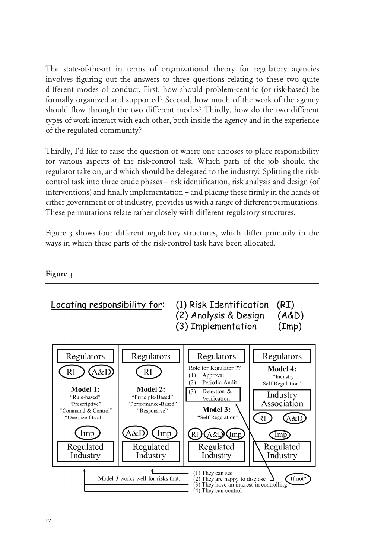The state-of-the-art in terms of organizational theory for regulatory agencies involves figuring out the answers to three questions relating to these two quite different modes of conduct. First, how should problem-centric (or risk-based) be formally organized and supported? Second, how much of the work of the agency should flow through the two different modes? Thirdly, how do the two different types of work interact with each other, both inside the agency and in the experience of the regulated community?

Thirdly, I'd like to raise the question of where one chooses to place responsibility for various aspects of the risk-control task. Which parts of the job should the regulator take on, and which should be delegated to the industry? Splitting the riskcontrol task into three crude phases – risk identification, risk analysis and design (of interventions) and finally implementation – and placing these firmly in the hands of either government or of industry, provides us with a range of different permutations. These permutations relate rather closely with different regulatory structures.

Figure 3 shows four different regulatory structures, which differ primarily in the ways in which these parts of the risk-control task have been allocated.

#### Figure 3

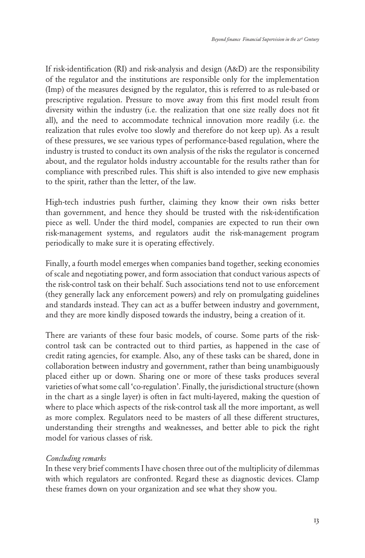If risk-identification (RI) and risk-analysis and design (A&D) are the responsibility of the regulator and the institutions are responsible only for the implementation (Imp) of the measures designed by the regulator, this is referred to as rule-based or prescriptive regulation. Pressure to move away from this first model result from diversity within the industry (i.e. the realization that one size really does not fit all), and the need to accommodate technical innovation more readily (i.e. the realization that rules evolve too slowly and therefore do not keep up). As a result of these pressures, we see various types of performance-based regulation, where the industry is trusted to conduct its own analysis of the risks the regulator is concerned about, and the regulator holds industry accountable for the results rather than for compliance with prescribed rules. This shift is also intended to give new emphasis to the spirit, rather than the letter, of the law.

High-tech industries push further, claiming they know their own risks better than government, and hence they should be trusted with the risk-identification piece as well. Under the third model, companies are expected to run their own risk-management systems, and regulators audit the risk-management program periodically to make sure it is operating effectively.

Finally, a fourth model emerges when companies band together, seeking economies of scale and negotiating power, and form association that conduct various aspects of the risk-control task on their behalf. Such associations tend not to use enforcement (they generally lack any enforcement powers) and rely on promulgating guidelines and standards instead. They can act as a buffer between industry and government, and they are more kindly disposed towards the industry, being a creation of it.

There are variants of these four basic models, of course. Some parts of the riskcontrol task can be contracted out to third parties, as happened in the case of credit rating agencies, for example. Also, any of these tasks can be shared, done in collaboration between industry and government, rather than being unambiguously placed either up or down. Sharing one or more of these tasks produces several varieties of what some call 'co-regulation'. Finally, the jurisdictional structure (shown in the chart as a single layer) is often in fact multi-layered, making the question of where to place which aspects of the risk-control task all the more important, as well as more complex. Regulators need to be masters of all these different structures, understanding their strengths and weaknesses, and better able to pick the right model for various classes of risk.

#### *Concluding remarks*

In these very brief comments I have chosen three out of the multiplicity of dilemmas with which regulators are confronted. Regard these as diagnostic devices. Clamp these frames down on your organization and see what they show you.